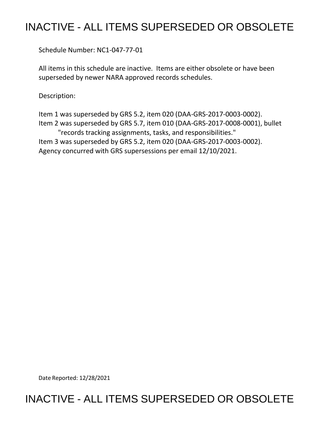## INACTIVE - ALL ITEMS SUPERSEDED OR OBSOLETE

Schedule Number: NC1-047-77-01

 All items in this schedule are inactive. Items are either obsolete or have been superseded by newer NARA approved records schedules.

Description:

 Item 1 was superseded by GRS 5.2, item 020 (DAA-GRS-2017-0003-0002). Item 2 was superseded by GRS 5.7, item 010 (DAA-GRS-2017-0008-0001), bullet Item 3 was superseded by GRS 5.2, item 020 (DAA-GRS-2017-0003-0002). Agency concurred with GRS supersessions per email 12/10/2021. "records tracking assignments, tasks, and responsibilities."

Date Reported: 12/28/2021

## INACTIVE - ALL ITEMS SUPERSEDED OR OBSOLETE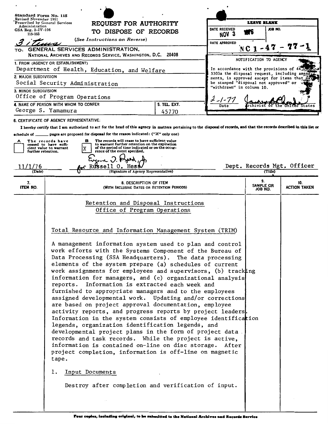| Standard Form No. 115<br>Revised November 1951                                                                     |                                                                                                                                                                                                                                                                                                                                                                                                                             |                                                                                                                                                                           |                              |                  | <b>LEAVE BLANK</b>                       |                                                                    |                            |                                              |  |  |
|--------------------------------------------------------------------------------------------------------------------|-----------------------------------------------------------------------------------------------------------------------------------------------------------------------------------------------------------------------------------------------------------------------------------------------------------------------------------------------------------------------------------------------------------------------------|---------------------------------------------------------------------------------------------------------------------------------------------------------------------------|------------------------------|------------------|------------------------------------------|--------------------------------------------------------------------|----------------------------|----------------------------------------------|--|--|
| Prescribed by General Services<br>Administration                                                                   |                                                                                                                                                                                                                                                                                                                                                                                                                             | REQUEST FOR AUTHORITY                                                                                                                                                     |                              |                  | DATE RECEIVED                            |                                                                    | .OH BOL                    |                                              |  |  |
| $GSA$ Reg. 3–IV–106<br>115-103                                                                                     |                                                                                                                                                                                                                                                                                                                                                                                                                             | TO DISPOSE OF RECORDS                                                                                                                                                     |                              | NOV <sub>3</sub> | . Ö                                      |                                                                    |                            |                                              |  |  |
|                                                                                                                    | (See Instructions on Reverse)<br>DATE APPROVED                                                                                                                                                                                                                                                                                                                                                                              |                                                                                                                                                                           |                              |                  |                                          |                                                                    |                            |                                              |  |  |
| TO:                                                                                                                |                                                                                                                                                                                                                                                                                                                                                                                                                             | GENERAL SERVICES ADMINISTRATION,                                                                                                                                          |                              |                  |                                          | $NC1 - 47$                                                         |                            |                                              |  |  |
|                                                                                                                    |                                                                                                                                                                                                                                                                                                                                                                                                                             | NATIONAL ARCHIVES AND RECORDS SERVICE, WASHINGTON, D.C. 20408                                                                                                             |                              |                  |                                          | NOTIFICATION TO AGENCY                                             |                            |                                              |  |  |
|                                                                                                                    | 1. FROM (AGENCY OR ESTABLISHMENT)                                                                                                                                                                                                                                                                                                                                                                                           |                                                                                                                                                                           |                              |                  | In accordance with the provisions of 44. |                                                                    |                            |                                              |  |  |
| Department of Health, Education, and Welfare<br>3303a the disposal request, including amen<br>2. MAJOR SUBDIVISION |                                                                                                                                                                                                                                                                                                                                                                                                                             |                                                                                                                                                                           |                              |                  |                                          |                                                                    |                            | ments, is approved except for items that may |  |  |
| Social Security Administration                                                                                     |                                                                                                                                                                                                                                                                                                                                                                                                                             |                                                                                                                                                                           |                              |                  |                                          | be stamped "disposal not approved" or<br>"withdrawn" in column 10. |                            |                                              |  |  |
| 3. MINOR SUBDIVISION                                                                                               |                                                                                                                                                                                                                                                                                                                                                                                                                             |                                                                                                                                                                           |                              |                  |                                          |                                                                    |                            |                                              |  |  |
| Office of Program Operations                                                                                       | £ -1-77                                                                                                                                                                                                                                                                                                                                                                                                                     |                                                                                                                                                                           |                              |                  |                                          |                                                                    |                            |                                              |  |  |
| 4. NAME OF PERSON WITH WHOM TO CONFER                                                                              |                                                                                                                                                                                                                                                                                                                                                                                                                             |                                                                                                                                                                           |                              | 5. TEL. EXT.     | Date                                     |                                                                    |                            |                                              |  |  |
| George S. Yamamura                                                                                                 |                                                                                                                                                                                                                                                                                                                                                                                                                             |                                                                                                                                                                           |                              | 45770            |                                          |                                                                    |                            |                                              |  |  |
|                                                                                                                    | 6. CERTIFICATE OF AGENCY REPRESENTATIVE:                                                                                                                                                                                                                                                                                                                                                                                    | I hereby certify that I am authorized to act for the head of this agency in matters pertaining to the disposal of records, and that the records described in this list or |                              |                  |                                          |                                                                    |                            |                                              |  |  |
| schedule of __                                                                                                     |                                                                                                                                                                                                                                                                                                                                                                                                                             | pages are proposed for disposal for the reason indicated: ("X" only one)                                                                                                  |                              |                  |                                          |                                                                    |                            |                                              |  |  |
|                                                                                                                    | The records have                                                                                                                                                                                                                                                                                                                                                                                                            | The records will cease to have sufficient value<br>в                                                                                                                      |                              |                  |                                          |                                                                    |                            |                                              |  |  |
| further retention.                                                                                                 | ceased to have suffi-<br>cient value to warrant                                                                                                                                                                                                                                                                                                                                                                             | to warrant further retention on the expiration<br>of the period of time indicated or on the occur-<br>rence of the event specified.                                       |                              |                  |                                          |                                                                    |                            |                                              |  |  |
|                                                                                                                    |                                                                                                                                                                                                                                                                                                                                                                                                                             |                                                                                                                                                                           |                              |                  |                                          |                                                                    |                            |                                              |  |  |
| 11/1/76                                                                                                            |                                                                                                                                                                                                                                                                                                                                                                                                                             | <b>Russell</b>                                                                                                                                                            |                              |                  |                                          |                                                                    |                            | Dept. Records Mgt. Officer                   |  |  |
| (Date)                                                                                                             |                                                                                                                                                                                                                                                                                                                                                                                                                             | (Signature of Agency Representative)                                                                                                                                      |                              |                  |                                          |                                                                    | (Title)                    |                                              |  |  |
| 7.<br><b>ITEM NO.</b>                                                                                              | 8. DESCRIPTION OF ITEM<br>(WITH INCLUSIVE DATES OR RETENTION PERIODS)                                                                                                                                                                                                                                                                                                                                                       |                                                                                                                                                                           |                              |                  |                                          | 9.<br>SAMPLE OR<br>JOB NO.                                         | 10.<br><b>ACTION TAKEN</b> |                                              |  |  |
|                                                                                                                    |                                                                                                                                                                                                                                                                                                                                                                                                                             |                                                                                                                                                                           |                              |                  |                                          |                                                                    |                            |                                              |  |  |
|                                                                                                                    |                                                                                                                                                                                                                                                                                                                                                                                                                             | Retention and Disposal Instructions                                                                                                                                       |                              |                  |                                          |                                                                    |                            |                                              |  |  |
|                                                                                                                    |                                                                                                                                                                                                                                                                                                                                                                                                                             |                                                                                                                                                                           | Office of Program Operations |                  |                                          |                                                                    |                            |                                              |  |  |
|                                                                                                                    |                                                                                                                                                                                                                                                                                                                                                                                                                             |                                                                                                                                                                           |                              |                  |                                          |                                                                    |                            |                                              |  |  |
|                                                                                                                    | Total Resource and Information Management System (TRIM)<br>A management information system used to plan and control                                                                                                                                                                                                                                                                                                         |                                                                                                                                                                           |                              |                  |                                          |                                                                    |                            |                                              |  |  |
|                                                                                                                    |                                                                                                                                                                                                                                                                                                                                                                                                                             |                                                                                                                                                                           |                              |                  |                                          |                                                                    |                            |                                              |  |  |
|                                                                                                                    |                                                                                                                                                                                                                                                                                                                                                                                                                             |                                                                                                                                                                           |                              |                  |                                          |                                                                    |                            |                                              |  |  |
|                                                                                                                    | work efforts with the Systems Component of the Bureau of                                                                                                                                                                                                                                                                                                                                                                    |                                                                                                                                                                           |                              |                  |                                          |                                                                    |                            |                                              |  |  |
|                                                                                                                    | Data Processing (SSA Headquarters). The data processing<br>elements of the system prepare (a) schedules of current<br>work assignments for employees and supervisors, (b) tracking<br>information for managers, and (c) organizational analysis<br>Information is extracted each week and<br>reports.<br>furnished to appropriate managers and to the employees<br>assigned developmental work. Updating and/or corrections |                                                                                                                                                                           |                              |                  |                                          |                                                                    |                            |                                              |  |  |
|                                                                                                                    |                                                                                                                                                                                                                                                                                                                                                                                                                             |                                                                                                                                                                           |                              |                  |                                          |                                                                    |                            |                                              |  |  |
|                                                                                                                    |                                                                                                                                                                                                                                                                                                                                                                                                                             |                                                                                                                                                                           |                              |                  |                                          |                                                                    |                            |                                              |  |  |
|                                                                                                                    |                                                                                                                                                                                                                                                                                                                                                                                                                             |                                                                                                                                                                           |                              |                  |                                          |                                                                    |                            |                                              |  |  |
|                                                                                                                    |                                                                                                                                                                                                                                                                                                                                                                                                                             |                                                                                                                                                                           |                              |                  |                                          |                                                                    |                            |                                              |  |  |
|                                                                                                                    |                                                                                                                                                                                                                                                                                                                                                                                                                             |                                                                                                                                                                           |                              |                  |                                          |                                                                    |                            |                                              |  |  |
|                                                                                                                    | are based on project approval documentation, employee<br>activity reports, and progress reports by project leaders.                                                                                                                                                                                                                                                                                                         |                                                                                                                                                                           |                              |                  |                                          |                                                                    |                            |                                              |  |  |
|                                                                                                                    |                                                                                                                                                                                                                                                                                                                                                                                                                             | Information in the system consists of employee identification                                                                                                             |                              |                  |                                          |                                                                    |                            |                                              |  |  |
|                                                                                                                    |                                                                                                                                                                                                                                                                                                                                                                                                                             | legends, organization identification legends, and                                                                                                                         |                              |                  |                                          |                                                                    |                            |                                              |  |  |
|                                                                                                                    |                                                                                                                                                                                                                                                                                                                                                                                                                             | developmental project plans in the form of project data.                                                                                                                  |                              |                  |                                          |                                                                    |                            |                                              |  |  |
|                                                                                                                    |                                                                                                                                                                                                                                                                                                                                                                                                                             | records and task records. While the project is active,                                                                                                                    |                              |                  |                                          |                                                                    |                            |                                              |  |  |
|                                                                                                                    | information is contained on-line on disc storage.<br>After<br>project completion, information is off-line on magnetic                                                                                                                                                                                                                                                                                                       |                                                                                                                                                                           |                              |                  |                                          |                                                                    |                            |                                              |  |  |
|                                                                                                                    | tape.                                                                                                                                                                                                                                                                                                                                                                                                                       |                                                                                                                                                                           |                              |                  |                                          |                                                                    |                            |                                              |  |  |
|                                                                                                                    | 1.                                                                                                                                                                                                                                                                                                                                                                                                                          | Input Documents                                                                                                                                                           |                              |                  |                                          |                                                                    |                            |                                              |  |  |
|                                                                                                                    |                                                                                                                                                                                                                                                                                                                                                                                                                             | Destroy after completion and verification of input.                                                                                                                       |                              |                  |                                          |                                                                    |                            |                                              |  |  |
|                                                                                                                    |                                                                                                                                                                                                                                                                                                                                                                                                                             |                                                                                                                                                                           |                              |                  |                                          |                                                                    |                            |                                              |  |  |
|                                                                                                                    |                                                                                                                                                                                                                                                                                                                                                                                                                             |                                                                                                                                                                           |                              |                  |                                          |                                                                    |                            |                                              |  |  |
|                                                                                                                    |                                                                                                                                                                                                                                                                                                                                                                                                                             |                                                                                                                                                                           |                              |                  |                                          |                                                                    |                            |                                              |  |  |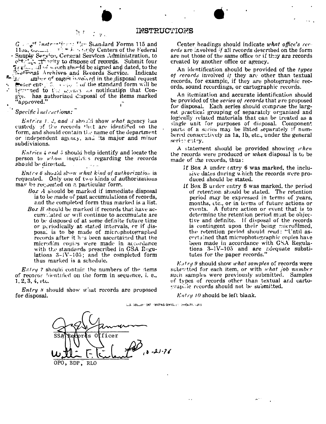## INSTRUCTIONS

折す  $\mathcal{I}^{\mathcal{I}}(y)$ 

 $G \in \mathbb{R}^n$  instruction of Use Standard Forms 115 and<br>115a,  $G_{\text{bound}} = \frac{\pi \int_{\mathbb{R}^n} \pi \int_{\mathbb{R}^n} f(f) \, dy}$  Centers of the Federal Supply Service, General Services Administration, to of the charge of records. Submit four grades, all of winch should be signed and dated, to the Letivial Archives and Records Service. Indicate miner of pages involved in the disposal request  $\mathbf{2}$ is expected to the algebra as notification that Congive. has authorized disposal of the items marked approved."

Specific  $line$  instructions:

*Entries 1.2, and 3* should show what agency has custedy of the records that are identified on the form, and should contain the name of the department or independent agency, and its major and minor subdivisions.

*Entries 4 and 5* should help identify and locate the person to whom inquirits regarding the records should be directed. الأملال  $\sim 10^{-1}$ 

*Entry 6* should show what kind of authorization is requested. Only one of two kinds of authorizations may be requested on a particular form.

- Box A should be marked if immediate disposal is to be made of past accumulations of records, and the completed form thus marked is a list.
- Box  $B$  should be marked if records that have accumulated or will continue to accumulate are to be disposed of at some definite future time or periodically at stated intervals, or if disposal is to be made of microphotographed records after it has been ascertained that the microfilm copies were made in accordance with the standards prescribed in GSA Regulations  $3-1V-105$ ; and the completed form thus marked is a schedule.

*Entry* 7 should contain the numbers of the stems of records litentified on the form in sequence, i. e.,  $1, 2, 3, 4,$  etc.

*Entry x* should show what records are proposed for disposal.

Center headings should indicate what office's records are involved if all records described on the form are not those of the same office or if they are records created by another office or agency.

An identification should be provided of the types of records involved if they are other than textual records, for example, if they are photographic records, sound recordings, or cartographic records.

An itemization and accurate identification should be provided of the series of records that are proposed for disposal. Each series should comprise the largest practical grouping of separately organized and logically related materials that can be treated as a single unit for purposes of disposal. Component parts of a series may be listed separately if numbered consecutively as 1a, 1b, etc., under the general serior entry.

A statement should be provided showing when the records were produced or when disposal is to be made of the records, thus:

- If Box A under entry 6 was marked, the inclusive dates during which the records were produced should be stated.
- If Box B under entry 6 was marked, the period of retention should be stated. The retention period may be expressed in terms of years, months, etc., or in terms of future actions or events. A future action or event that is to determine the retention period must be objective and definite. If disposal of the records is contingent upon their being microfilmed, the retention period should read: "Until ascertained that microphotographic copies have been made in accordance with GSA Regulations 3-1V-105 and are adequate substitutes for the paper records."

 $E_{\mu}$ try 9 should show what samples of records were submitted for each item, or with what job number such samples were previously submitted. Samples of types of records other than textual and cartographic records should not be submitted.

 $E n t r y 10$  should be left blank.

ULS: DONLINE TONT INSURING OPERATION SHOWER 1213

 $\ddot{\phantom{0}}$